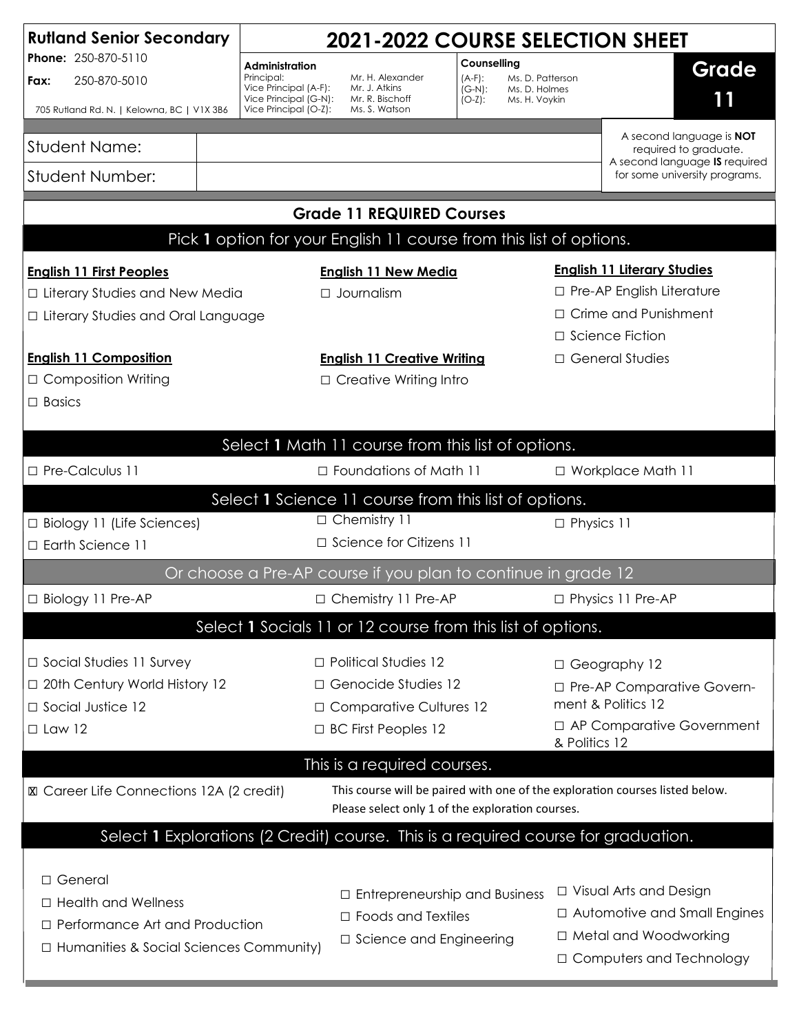| <b>Rutland Senior Secondary</b><br>Phone: 250-870-5110<br>250-870-5010<br>Fax:<br>705 Rutland Rd. N.   Kelowna, BC   V1X 3B6                                                        |  | <b>2021-2022 COURSE SELECTION SHEET</b>                                                                                                                                                                                                |                                      |  |                                                                   |                                                                |  |
|-------------------------------------------------------------------------------------------------------------------------------------------------------------------------------------|--|----------------------------------------------------------------------------------------------------------------------------------------------------------------------------------------------------------------------------------------|--------------------------------------|--|-------------------------------------------------------------------|----------------------------------------------------------------|--|
|                                                                                                                                                                                     |  | Counselling<br>Administration<br>Mr. H. Alexander<br>Principal:<br>$(A-F)$ :<br>Vice Principal (A-F):<br>Mr. J. Atkins<br>$(G-N)$ :<br>Vice Principal (G-N):<br>Mr. R. Bischoff<br>$(O-Z)$ :<br>Vice Principal (O-Z):<br>Ms. S. Watson |                                      |  | Grade<br>Ms. D. Patterson<br>Ms. D. Holmes<br>11<br>Ms. H. Voykin |                                                                |  |
|                                                                                                                                                                                     |  |                                                                                                                                                                                                                                        |                                      |  |                                                                   |                                                                |  |
| <b>Student Name:</b>                                                                                                                                                                |  |                                                                                                                                                                                                                                        |                                      |  |                                                                   | A second language is <b>NOT</b><br>required to graduate.       |  |
| <b>Student Number:</b>                                                                                                                                                              |  |                                                                                                                                                                                                                                        |                                      |  |                                                                   | A second language IS required<br>for some university programs. |  |
| <b>Grade 11 REQUIRED Courses</b>                                                                                                                                                    |  |                                                                                                                                                                                                                                        |                                      |  |                                                                   |                                                                |  |
| Pick 1 option for your English 11 course from this list of options.                                                                                                                 |  |                                                                                                                                                                                                                                        |                                      |  |                                                                   |                                                                |  |
| <b>English 11 First Peoples</b>                                                                                                                                                     |  |                                                                                                                                                                                                                                        | <b>English 11 New Media</b>          |  |                                                                   | <b>English 11 Literary Studies</b>                             |  |
| □ Literary Studies and New Media                                                                                                                                                    |  |                                                                                                                                                                                                                                        | □ Journalism                         |  |                                                                   | □ Pre-AP English Literature                                    |  |
| □ Literary Studies and Oral Language                                                                                                                                                |  |                                                                                                                                                                                                                                        |                                      |  |                                                                   | □ Crime and Punishment                                         |  |
|                                                                                                                                                                                     |  |                                                                                                                                                                                                                                        |                                      |  |                                                                   | □ Science Fiction                                              |  |
| <b>English 11 Composition</b>                                                                                                                                                       |  |                                                                                                                                                                                                                                        | <b>English 11 Creative Writing</b>   |  |                                                                   | □ General Studies                                              |  |
| □ Composition Writing                                                                                                                                                               |  | $\Box$ Creative Writing Intro                                                                                                                                                                                                          |                                      |  |                                                                   |                                                                |  |
| $\Box$ Basics                                                                                                                                                                       |  |                                                                                                                                                                                                                                        |                                      |  |                                                                   |                                                                |  |
| Select 1 Math 11 course from this list of options.                                                                                                                                  |  |                                                                                                                                                                                                                                        |                                      |  |                                                                   |                                                                |  |
| □ Pre-Calculus 11                                                                                                                                                                   |  |                                                                                                                                                                                                                                        | $\Box$ Foundations of Math 11        |  |                                                                   | □ Workplace Math 11                                            |  |
| Select 1 Science 11 course from this list of options.                                                                                                                               |  |                                                                                                                                                                                                                                        |                                      |  |                                                                   |                                                                |  |
| □ Biology 11 (Life Sciences)                                                                                                                                                        |  |                                                                                                                                                                                                                                        | □ Chemistry 11                       |  |                                                                   | □ Physics 11                                                   |  |
| □ Earth Science 11                                                                                                                                                                  |  |                                                                                                                                                                                                                                        | □ Science for Citizens 11            |  |                                                                   |                                                                |  |
| Or choose a Pre-AP course if you plan to continue in grade 12                                                                                                                       |  |                                                                                                                                                                                                                                        |                                      |  |                                                                   |                                                                |  |
| □ Biology 11 Pre-AP                                                                                                                                                                 |  |                                                                                                                                                                                                                                        | □ Chemistry 11 Pre-AP                |  |                                                                   | □ Physics 11 Pre-AP                                            |  |
| Select 1 Socials 11 or 12 course from this list of options.                                                                                                                         |  |                                                                                                                                                                                                                                        |                                      |  |                                                                   |                                                                |  |
| $\Box$ Social Studies 11 Survey                                                                                                                                                     |  |                                                                                                                                                                                                                                        | $\Box$ Political Studies 12          |  |                                                                   | □ Geography 12                                                 |  |
| □ 20th Century World History 12                                                                                                                                                     |  |                                                                                                                                                                                                                                        | □ Genocide Studies 12                |  |                                                                   | □ Pre-AP Comparative Govern-                                   |  |
| □ Social Justice 12                                                                                                                                                                 |  |                                                                                                                                                                                                                                        | □ Comparative Cultures 12            |  |                                                                   | ment & Politics 12                                             |  |
| $\Box$ Law 12                                                                                                                                                                       |  |                                                                                                                                                                                                                                        | $\Box$ BC First Peoples 12           |  |                                                                   | □ AP Comparative Government<br>& Politics 12                   |  |
| This is a required courses.                                                                                                                                                         |  |                                                                                                                                                                                                                                        |                                      |  |                                                                   |                                                                |  |
| This course will be paired with one of the exploration courses listed below.<br><b>X</b> Career Life Connections 12A (2 credit)<br>Please select only 1 of the exploration courses. |  |                                                                                                                                                                                                                                        |                                      |  |                                                                   |                                                                |  |
| Select 1 Explorations (2 Credit) course. This is a required course for graduation.                                                                                                  |  |                                                                                                                                                                                                                                        |                                      |  |                                                                   |                                                                |  |
| □ General                                                                                                                                                                           |  |                                                                                                                                                                                                                                        |                                      |  |                                                                   |                                                                |  |
| $\Box$ Health and Wellness                                                                                                                                                          |  |                                                                                                                                                                                                                                        | $\Box$ Entrepreneurship and Business |  |                                                                   | $\Box$ Visual Arts and Design                                  |  |
| □ Performance Art and Production                                                                                                                                                    |  |                                                                                                                                                                                                                                        | $\Box$ Foods and Textiles            |  |                                                                   | □ Automotive and Small Engines                                 |  |
| $\Box$ Humanities & Social Sciences Community)                                                                                                                                      |  |                                                                                                                                                                                                                                        | □ Science and Engineering            |  |                                                                   | □ Metal and Woodworking                                        |  |
|                                                                                                                                                                                     |  |                                                                                                                                                                                                                                        |                                      |  |                                                                   | □ Computers and Technology                                     |  |
|                                                                                                                                                                                     |  |                                                                                                                                                                                                                                        |                                      |  |                                                                   |                                                                |  |